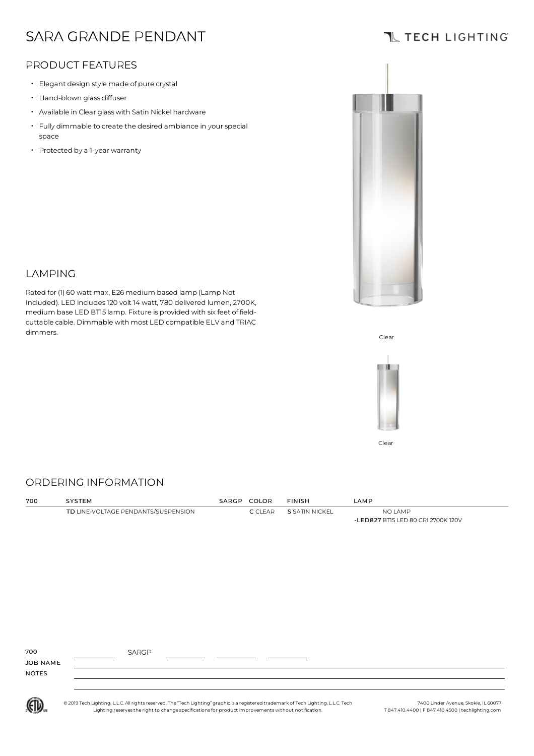# SARA GRANDE PENDANT

### PRODUCT FEATURES

- Elegant design style made of pure crystal
- Hand-blown glass diffuser
- Available in Clear glasswith Satin Nickel hardware
- $\cdot$  Fully dimmable to create the desired ambiance in your special space
- Protected by <sup>a</sup> 1-year warranty



## LAMPING

Rated for (1) 60 watt max, E26 medium based lamp (Lamp Not Included). LED includes120 volt 14 watt, 780 delivered lumen, 2700K, medium base LED BT15 lamp. Fixture is provided with six feet of fieldcuttable cable. Dimmable with most LED compatible ELV and TRIAC dimmers.<br>Clear





Clear

#### ORDERING INFORMATION

| 700 | SYSTEM                              | SARGP COLOR    | <b>FINISH</b>         | <b>LAMP</b>                                   |
|-----|-------------------------------------|----------------|-----------------------|-----------------------------------------------|
|     | TD LINE-VOLTAGE PENDANTS/SUSPENSION | <b>C</b> CLEAR | <b>S SATIN NICKEL</b> | NO LAMP<br>-LED827 BTI5 LED 80 CRI 2700K 120V |
|     |                                     |                |                       |                                               |
|     |                                     |                |                       |                                               |
|     |                                     |                |                       |                                               |
|     |                                     |                |                       |                                               |

| 700          | <b>SARGP</b> |  |  |
|--------------|--------------|--|--|
| JOB NAME     |              |  |  |
| <b>NOTES</b> |              |  |  |
|              |              |  |  |



© 2019 Tech Lighting, L.L.C. All rightsreserved. The "Tech Lighting" graphic is a registered trademark of Tech Lighting, L.L.C. Tech Lighting reservesthe right to change specificationsfor product improvementswithout notification.

7400 Linder Avenue, Skokie, IL 60077 T 847.410.4400 | F 847.410.4500 | techlighting.com

## **TL TECH LIGHTING**